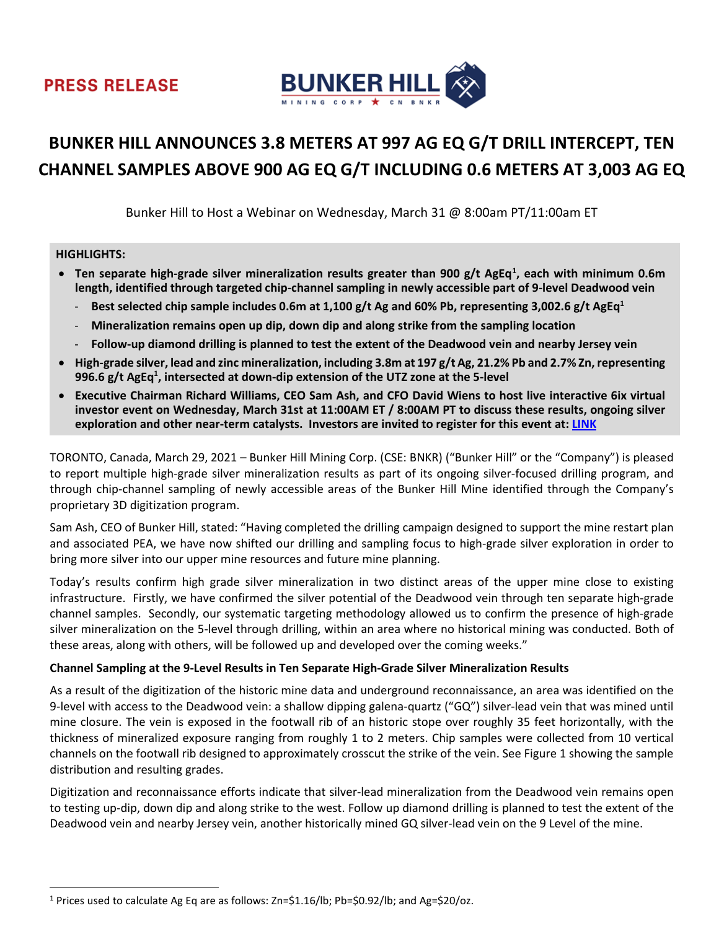

# **BUNKER HILL ANNOUNCES 3.8 METERS AT 997 AG EQ G/T DRILL INTERCEPT, TEN CHANNEL SAMPLES ABOVE 900 AG EQ G/T INCLUDING 0.6 METERS AT 3,003 AG EQ**

Bunker Hill to Host a Webinar on Wednesday, March 31 @ 8:00am PT/11:00am ET

## **HIGHLIGHTS:**

- Ten separate high-grade silver mineralization results greater than 900 g/t AgEq<sup>1</sup>, each with minimum 0.6m **length, identified through targeted chip-channel sampling in newly accessible part of 9-level Deadwood vein**
	- **Best selected chip sample includes 0.6m at 1,100 g/t Ag and 60% Pb, representing 3,002.6 g/t AgEq1**
	- **Mineralization remains open up dip, down dip and along strike from the sampling location**
	- **Follow-up diamond drilling is planned to test the extent of the Deadwood vein and nearby Jersey vein**
- **High-grade silver, lead and zinc mineralization, including 3.8m at 197 g/t Ag, 21.2% Pb and 2.7% Zn, representing 996.6 g/t AgEq1 , intersected at down-dip extension of the UTZ zone at the 5-level**
- **Executive Chairman Richard Williams, CEO Sam Ash, and CFO David Wiens to host live interactive 6ix virtual investor event on Wednesday, March 31st at 11:00AM ET / 8:00AM PT to discuss these results, ongoing silver exploration and other near-term catalysts. Investors are invited to register for this event at: [LINK](https://6ix.com/event/high-grade-silver-mineralization-results-what-does-this-mean-and-whats-next/)**

TORONTO, Canada, March 29, 2021 – Bunker Hill Mining Corp. (CSE: BNKR) ("Bunker Hill" or the "Company") is pleased to report multiple high-grade silver mineralization results as part of its ongoing silver-focused drilling program, and through chip-channel sampling of newly accessible areas of the Bunker Hill Mine identified through the Company's proprietary 3D digitization program.

Sam Ash, CEO of Bunker Hill, stated: "Having completed the drilling campaign designed to support the mine restart plan and associated PEA, we have now shifted our drilling and sampling focus to high-grade silver exploration in order to bring more silver into our upper mine resources and future mine planning.

Today's results confirm high grade silver mineralization in two distinct areas of the upper mine close to existing infrastructure. Firstly, we have confirmed the silver potential of the Deadwood vein through ten separate high-grade channel samples. Secondly, our systematic targeting methodology allowed us to confirm the presence of high-grade silver mineralization on the 5-level through drilling, within an area where no historical mining was conducted. Both of these areas, along with others, will be followed up and developed over the coming weeks."

# **Channel Sampling at the 9-Level Results in Ten Separate High-Grade Silver Mineralization Results**

As a result of the digitization of the historic mine data and underground reconnaissance, an area was identified on the 9-level with access to the Deadwood vein: a shallow dipping galena-quartz ("GQ") silver-lead vein that was mined until mine closure. The vein is exposed in the footwall rib of an historic stope over roughly 35 feet horizontally, with the thickness of mineralized exposure ranging from roughly 1 to 2 meters. Chip samples were collected from 10 vertical channels on the footwall rib designed to approximately crosscut the strike of the vein. See Figure 1 showing the sample distribution and resulting grades.

Digitization and reconnaissance efforts indicate that silver-lead mineralization from the Deadwood vein remains open to testing up-dip, down dip and along strike to the west. Follow up diamond drilling is planned to test the extent of the Deadwood vein and nearby Jersey vein, another historically mined GQ silver-lead vein on the 9 Level of the mine.

<span id="page-0-0"></span><sup>&</sup>lt;sup>1</sup> Prices used to calculate Ag Eq are as follows:  $Zn=51.16/lb$ ; Pb= $50.92/lb$ ; and Ag= $520/oz$ .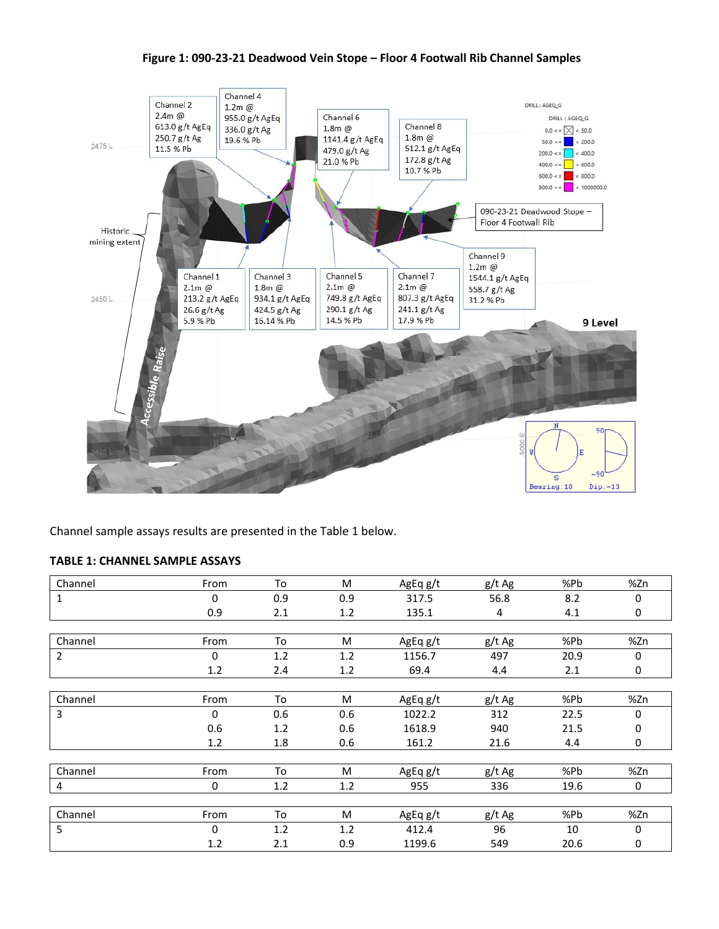## **Figure 1: 090-23-21 Deadwood Vein Stope – Floor 4 Footwall Rib Channel Samples**



Channel sample assays results are presented in the Table 1 below.

## **TABLE 1: CHANNEL SAMPLE ASSAYS**

| Channel        | From         | To  | M   | AgEq g/t | g/t Ag | %Pb  | %Zn |
|----------------|--------------|-----|-----|----------|--------|------|-----|
| 1              | 0            | 0.9 | 0.9 | 317.5    | 56.8   | 8.2  | 0   |
|                | 0.9          | 2.1 | 1.2 | 135.1    | 4      | 4.1  | 0   |
|                |              |     |     |          |        |      |     |
| Channel        | From         | To  | M   | AgEq g/t | g/t Ag | %Pb  | %Zn |
| $\overline{2}$ | 0            | 1.2 | 1.2 | 1156.7   | 497    | 20.9 | 0   |
|                | 1.2          | 2.4 | 1.2 | 69.4     | 4.4    | 2.1  | 0   |
|                |              |     |     |          |        |      |     |
| Channel        | From         | To  | M   | AgEq g/t | g/t Ag | %Pb  | %Zn |
| 3              | $\mathbf{0}$ | 0.6 | 0.6 | 1022.2   | 312    | 22.5 | 0   |
|                | 0.6          | 1.2 | 0.6 | 1618.9   | 940    | 21.5 | 0   |
|                | 1.2          | 1.8 | 0.6 | 161.2    | 21.6   | 4.4  | 0   |
|                |              |     |     |          |        |      |     |
| Channel        | From         | To  | M   | AgEq g/t | g/t Ag | %Pb  | %Zn |
| 4              | 0            | 1.2 | 1.2 | 955      | 336    | 19.6 | 0   |
|                |              |     |     |          |        |      |     |
| Channel        | From         | To  | M   | AgEq g/t | g/t Ag | %Pb  | %Zn |
| 5              | $\Omega$     | 1.2 | 1.2 | 412.4    | 96     | 10   | 0   |
|                | 1.2          | 2.1 | 0.9 | 1199.6   | 549    | 20.6 | 0   |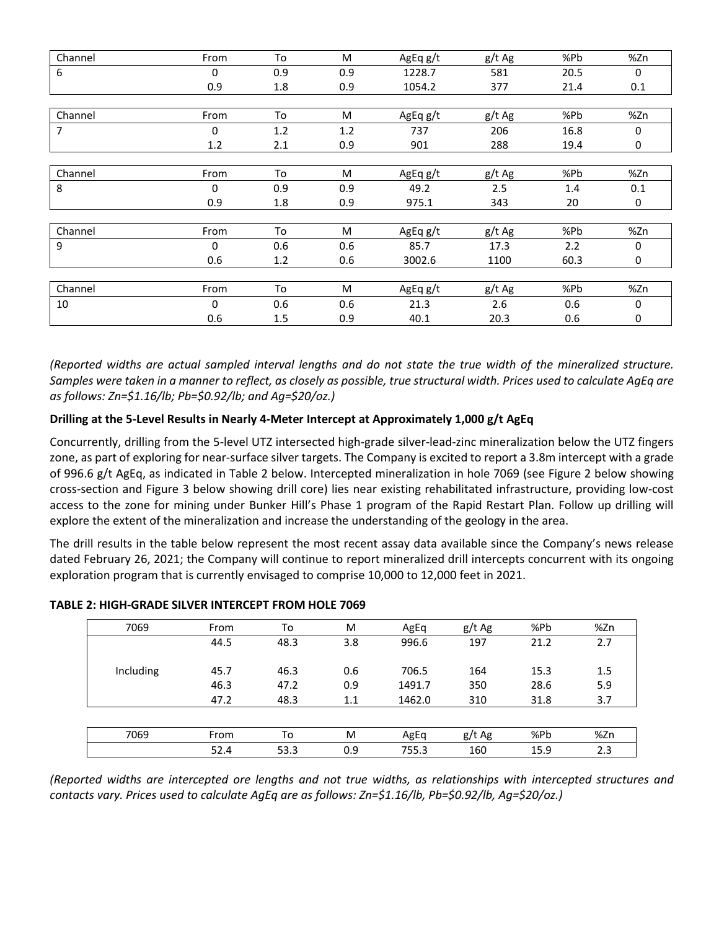| Channel | From         | To  | M   | AgEq g/t | g/t Ag | %Pb  | %Zn |
|---------|--------------|-----|-----|----------|--------|------|-----|
| 6       | $\mathbf{0}$ | 0.9 | 0.9 | 1228.7   | 581    | 20.5 | 0   |
|         | 0.9          | 1.8 | 0.9 | 1054.2   | 377    | 21.4 | 0.1 |
|         |              |     |     |          |        |      |     |
| Channel | From         | To  | M   | AgEq g/t | g/t Ag | %Pb  | %Zn |
| 7       | $\Omega$     | 1.2 | 1.2 | 737      | 206    | 16.8 | 0   |
|         | 1.2          | 2.1 | 0.9 | 901      | 288    | 19.4 | 0   |
|         |              |     |     |          |        |      |     |
| Channel | From         | To  | M   | AgEq g/t | g/t Ag | %Pb  | %Zn |
| 8       | $\mathbf{0}$ | 0.9 | 0.9 | 49.2     | 2.5    | 1.4  | 0.1 |
|         | 0.9          | 1.8 | 0.9 | 975.1    | 343    | 20   | 0   |
|         |              |     |     |          |        |      |     |
| Channel | From         | To  | M   | AgEq g/t | g/t Ag | %Pb  | %Zn |
| 9       | 0            | 0.6 | 0.6 | 85.7     | 17.3   | 2.2  | 0   |
|         | 0.6          | 1.2 | 0.6 | 3002.6   | 1100   | 60.3 | 0   |
|         |              |     |     |          |        |      |     |
| Channel | From         | To  | M   | AgEq g/t | g/t Ag | %Pb  | %Zn |
| 10      | $\mathbf 0$  | 0.6 | 0.6 | 21.3     | 2.6    | 0.6  | 0   |
|         | 0.6          | 1.5 | 0.9 | 40.1     | 20.3   | 0.6  | 0   |

*(Reported widths are actual sampled interval lengths and do not state the true width of the mineralized structure. Samples were taken in a manner to reflect, as closely as possible, true structural width. Prices used to calculate AgEq are as follows: Zn=\$1.16/lb; Pb=\$0.92/lb; and Ag=\$20/oz.)*

# **Drilling at the 5-Level Results in Nearly 4-Meter Intercept at Approximately 1,000 g/t AgEq**

Concurrently, drilling from the 5-level UTZ intersected high-grade silver-lead-zinc mineralization below the UTZ fingers zone, as part of exploring for near-surface silver targets. The Company is excited to report a 3.8m intercept with a grade of 996.6 g/t AgEq, as indicated in Table 2 below. Intercepted mineralization in hole 7069 (see Figure 2 below showing cross-section and Figure 3 below showing drill core) lies near existing rehabilitated infrastructure, providing low-cost access to the zone for mining under Bunker Hill's Phase 1 program of the Rapid Restart Plan. Follow up drilling will explore the extent of the mineralization and increase the understanding of the geology in the area.

The drill results in the table below represent the most recent assay data available since the Company's news release dated February 26, 2021; the Company will continue to report mineralized drill intercepts concurrent with its ongoing exploration program that is currently envisaged to comprise 10,000 to 12,000 feet in 2021.

| 7069      | From | To   | M   | AgEq   | g/t Ag | %Pb  | %Zn |
|-----------|------|------|-----|--------|--------|------|-----|
|           | 44.5 | 48.3 | 3.8 | 996.6  | 197    | 21.2 | 2.7 |
|           |      |      |     |        |        |      |     |
| Including | 45.7 | 46.3 | 0.6 | 706.5  | 164    | 15.3 | 1.5 |
|           | 46.3 | 47.2 | 0.9 | 1491.7 | 350    | 28.6 | 5.9 |
|           | 47.2 | 48.3 | 1.1 | 1462.0 | 310    | 31.8 | 3.7 |
|           |      |      |     |        |        |      |     |
| 7069      | From | To   | M   | AgEq   | g/t Ag | %Pb  | %Zn |
|           | 52.4 | 53.3 | 0.9 | 755.3  | 160    | 15.9 | 2.3 |

## **TABLE 2: HIGH-GRADE SILVER INTERCEPT FROM HOLE 7069**

*(Reported widths are intercepted ore lengths and not true widths, as relationships with intercepted structures and contacts vary. Prices used to calculate AgEq are as follows: Zn=\$1.16/lb, Pb=\$0.92/lb, Ag=\$20/oz.)*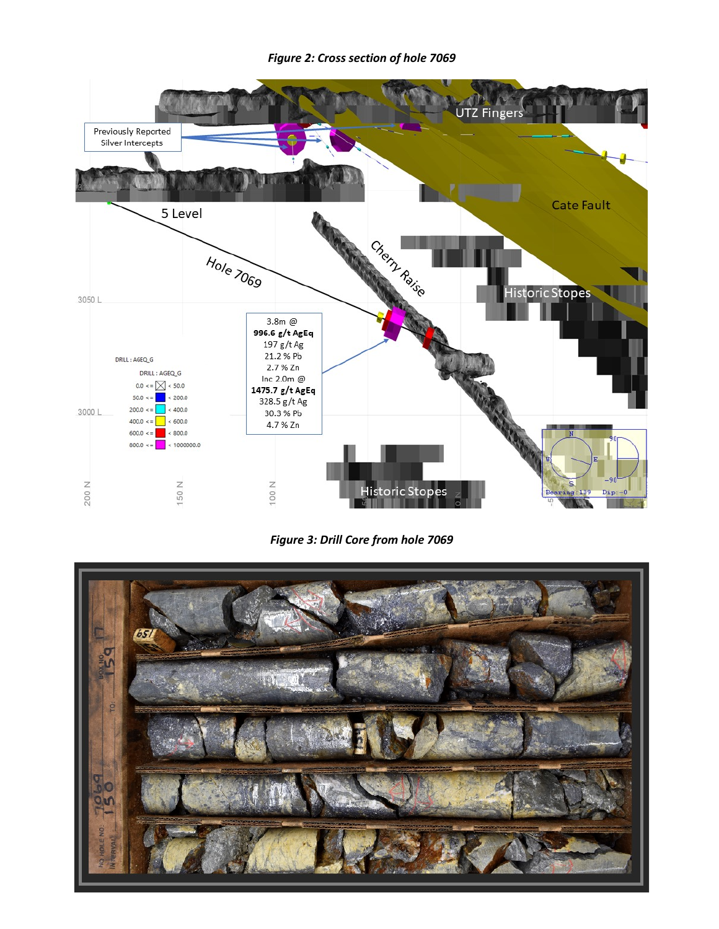*Figure 2: Cross section of hole 7069*



*Figure 3: Drill Core from hole 7069*

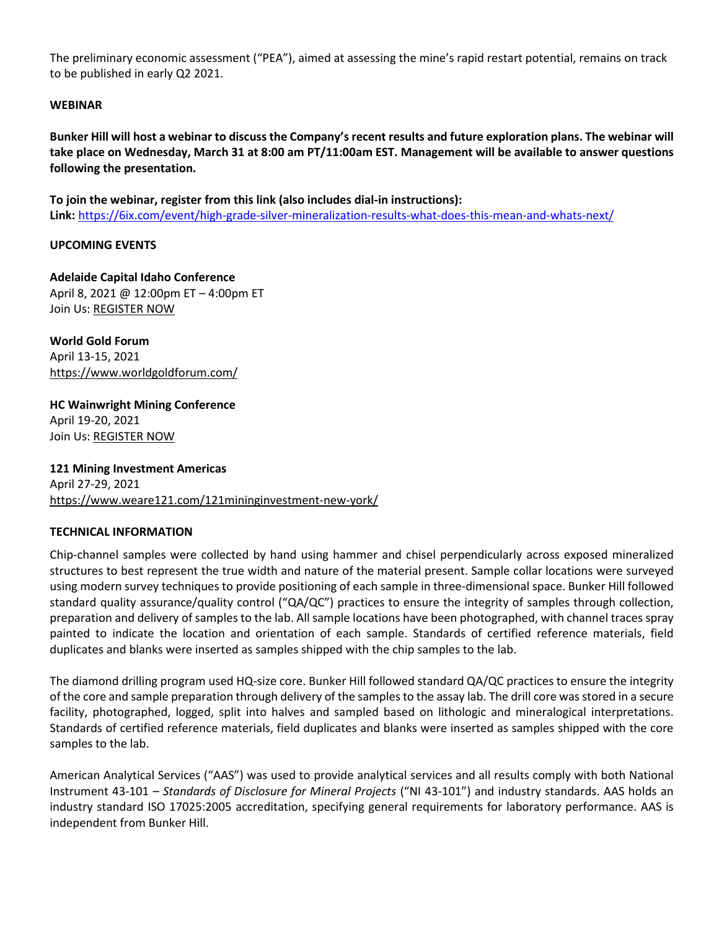The preliminary economic assessment ("PEA"), aimed at assessing the mine's rapid restart potential, remains on track to be published in early Q2 2021.

## **WEBINAR**

**Bunker Hill will host a webinar to discuss the Company's recent results and future exploration plans. The webinar will take place on Wednesday, March 31 at 8:00 am PT/11:00am EST. Management will be available to answer questions following the presentation.**

**To join the webinar, register from this link (also includes dial-in instructions): Link:** <https://6ix.com/event/high-grade-silver-mineralization-results-what-does-this-mean-and-whats-next/>

## **UPCOMING EVENTS**

**Adelaide Capital Idaho Conference** April 8, 2021 @ 12:00pm ET – 4:00pm ET Join Us: [REGISTER NOW](https://us02web.zoom.us/webinar/register/WN_gjdgMiRrQYuIPXYUKgDibQ)

**World Gold Forum** April 13-15, 2021 <https://www.worldgoldforum.com/>

**HC Wainwright Mining Conference** April 19-20, 2021 Join Us: [REGISTER NOW](https://hcwevents.com/mining/)

**121 Mining Investment Americas** April 27-29, 2021 <https://www.weare121.com/121mininginvestment-new-york/>

#### **TECHNICAL INFORMATION**

Chip-channel samples were collected by hand using hammer and chisel perpendicularly across exposed mineralized structures to best represent the true width and nature of the material present. Sample collar locations were surveyed using modern survey techniques to provide positioning of each sample in three-dimensional space. Bunker Hill followed standard quality assurance/quality control ("QA/QC") practices to ensure the integrity of samples through collection, preparation and delivery of samples to the lab. All sample locations have been photographed, with channel traces spray painted to indicate the location and orientation of each sample. Standards of certified reference materials, field duplicates and blanks were inserted as samples shipped with the chip samples to the lab.

The diamond drilling program used HQ-size core. Bunker Hill followed standard QA/QC practices to ensure the integrity of the core and sample preparation through delivery of the samples to the assay lab. The drill core was stored in a secure facility, photographed, logged, split into halves and sampled based on lithologic and mineralogical interpretations. Standards of certified reference materials, field duplicates and blanks were inserted as samples shipped with the core samples to the lab.

American Analytical Services ("AAS") was used to provide analytical services and all results comply with both National Instrument 43-101 – *Standards of Disclosure for Mineral Projects* ("NI 43-101") and industry standards. AAS holds an industry standard ISO 17025:2005 accreditation, specifying general requirements for laboratory performance. AAS is independent from Bunker Hill.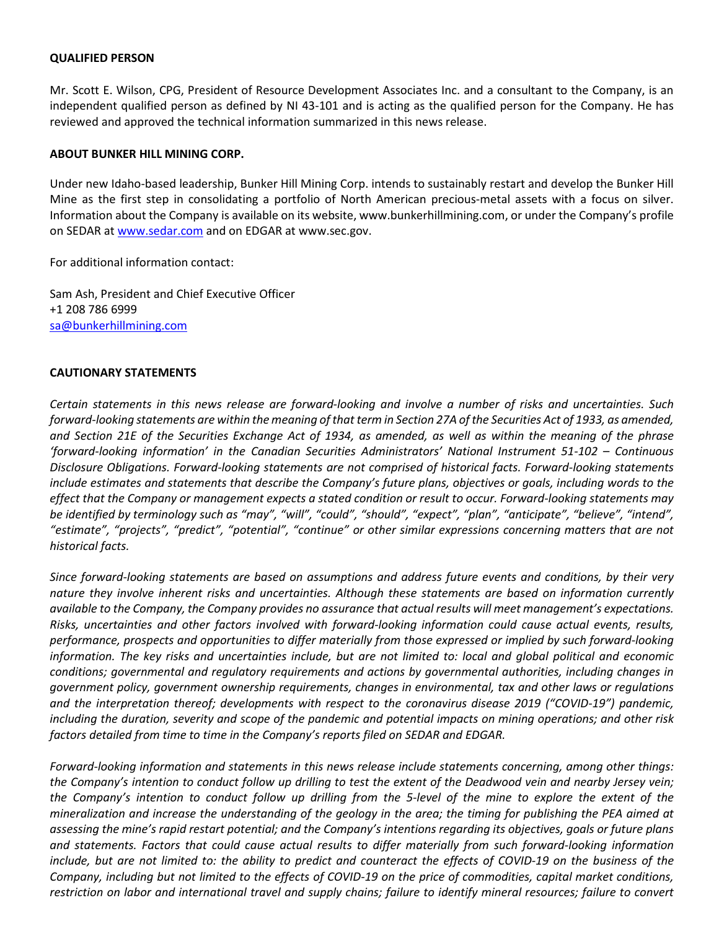#### **QUALIFIED PERSON**

Mr. Scott E. Wilson, CPG, President of Resource Development Associates Inc. and a consultant to the Company, is an independent qualified person as defined by NI 43-101 and is acting as the qualified person for the Company. He has reviewed and approved the technical information summarized in this news release.

#### **ABOUT BUNKER HILL MINING CORP.**

Under new Idaho-based leadership, Bunker Hill Mining Corp. intends to sustainably restart and develop the Bunker Hill Mine as the first step in consolidating a portfolio of North American precious-metal assets with a focus on silver. Information about the Company is available on its website, www.bunkerhillmining.com, or under the Company's profile on SEDAR at [www.sedar.com](http://www.sedar.com/) and on EDGAR at www.sec.gov.

For additional information contact:

Sam Ash, President and Chief Executive Officer +1 208 786 6999 [sa@bunkerhillmining.com](mailto:sa@bunkerhillmining.com)

#### **CAUTIONARY STATEMENTS**

*Certain statements in this news release are forward-looking and involve a number of risks and uncertainties. Such forward-looking statements are within the meaning of that term in Section 27A of the Securities Act of 1933, as amended, and Section 21E of the Securities Exchange Act of 1934, as amended, as well as within the meaning of the phrase 'forward-looking information' in the Canadian Securities Administrators' National Instrument 51-102 – Continuous Disclosure Obligations. Forward-looking statements are not comprised of historical facts. Forward-looking statements include estimates and statements that describe the Company's future plans, objectives or goals, including words to the effect that the Company or management expects a stated condition or result to occur. Forward-looking statements may be identified by terminology such as "may", "will", "could", "should", "expect", "plan", "anticipate", "believe", "intend", "estimate", "projects", "predict", "potential", "continue" or other similar expressions concerning matters that are not historical facts.*

*Since forward-looking statements are based on assumptions and address future events and conditions, by their very nature they involve inherent risks and uncertainties. Although these statements are based on information currently available to the Company, the Company provides no assurance that actual results will meet management's expectations. Risks, uncertainties and other factors involved with forward-looking information could cause actual events, results, performance, prospects and opportunities to differ materially from those expressed or implied by such forward-looking information. The key risks and uncertainties include, but are not limited to: local and global political and economic conditions; governmental and regulatory requirements and actions by governmental authorities, including changes in government policy, government ownership requirements, changes in environmental, tax and other laws or regulations and the interpretation thereof; developments with respect to the coronavirus disease 2019 ("COVID-19") pandemic, including the duration, severity and scope of the pandemic and potential impacts on mining operations; and other risk factors detailed from time to time in the Company's reports filed on SEDAR and EDGAR.*

*Forward-looking information and statements in this news release include statements concerning, among other things: the Company's intention to conduct follow up drilling to test the extent of the Deadwood vein and nearby Jersey vein; the Company's intention to conduct follow up drilling from the 5-level of the mine to explore the extent of the mineralization and increase the understanding of the geology in the area; the timing for publishing the PEA aimed at assessing the mine's rapid restart potential; and the Company's intentions regarding its objectives, goals or future plans and statements. Factors that could cause actual results to differ materially from such forward-looking information*  include, but are not limited to: the ability to predict and counteract the effects of COVID-19 on the business of the *Company, including but not limited to the effects of COVID-19 on the price of commodities, capital market conditions, restriction on labor and international travel and supply chains; failure to identify mineral resources; failure to convert*